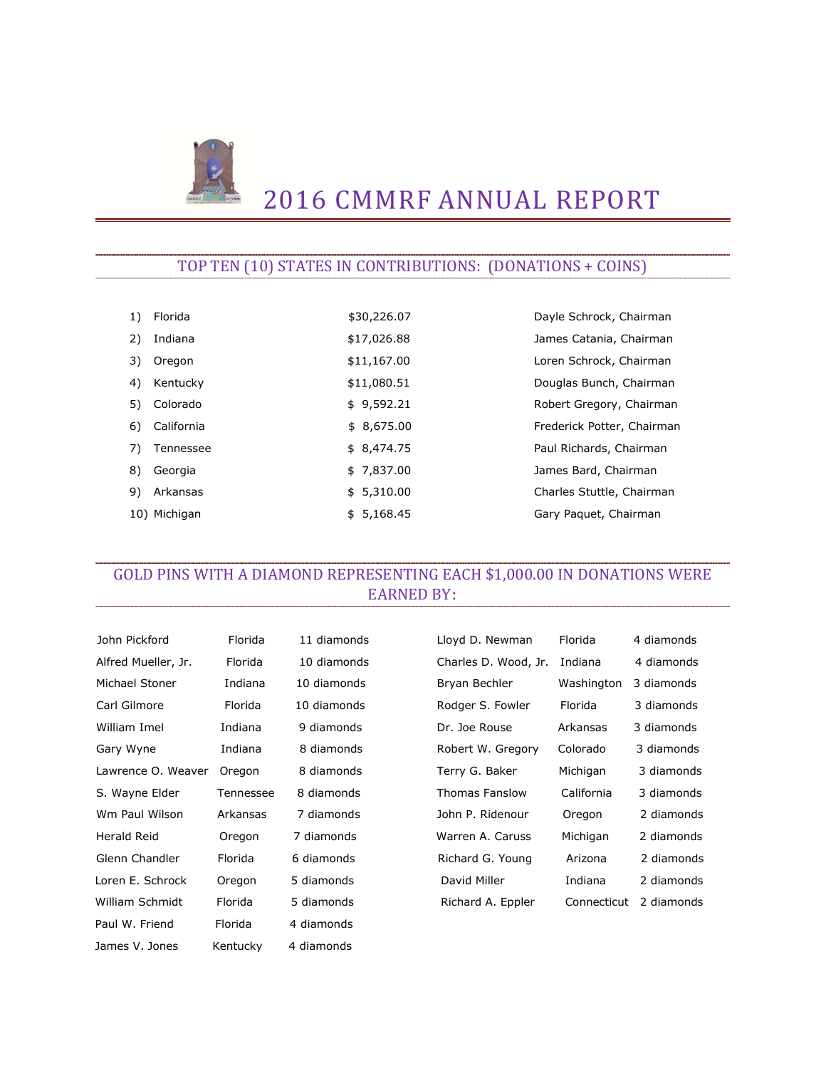

# 2016 CMMRF ANNUAL REPORT

#### TOP TEN (10) STATES IN CONTRIBUTIONS: (DONATIONS + COINS)

| 1) | Florida      | \$30,226.07 | Dayle Schrock, Chairman    |
|----|--------------|-------------|----------------------------|
| 2) | Indiana      | \$17,026.88 | James Catania, Chairman    |
| 3) | Oregon       | \$11,167.00 | Loren Schrock, Chairman    |
| 4) | Kentucky     | \$11,080.51 | Douglas Bunch, Chairman    |
| 5) | Colorado     | \$9,592.21  | Robert Gregory, Chairman   |
| 6) | California   | \$8,675.00  | Frederick Potter, Chairman |
| 7) | Tennessee    | \$8,474.75  | Paul Richards, Chairman    |
| 8) | Georgia      | \$7,837.00  | James Bard, Chairman       |
| 9) | Arkansas     | \$5,310.00  | Charles Stuttle, Chairman  |
|    | 10) Michigan | \$5,168.45  | Gary Paguet, Chairman      |

# GOLD PINS WITH A DIAMOND REPRESENTING EACH \$1,000.00 IN DONATIONS WERE EARNED BY:

| John Pickford       | Florida   | 11 diamonds | Lloyd D. Newman      | Florida     | 4 diamonds |
|---------------------|-----------|-------------|----------------------|-------------|------------|
| Alfred Mueller, Jr. | Florida   | 10 diamonds | Charles D. Wood, Jr. | Indiana     | 4 diamonds |
| Michael Stoner      | Indiana   | 10 diamonds | Bryan Bechler        | Washington  | 3 diamonds |
| Carl Gilmore        | Florida   | 10 diamonds | Rodger S. Fowler     | Florida     | 3 diamonds |
| William Imel        | Indiana   | 9 diamonds  | Dr. Joe Rouse        | Arkansas    | 3 diamonds |
| Gary Wyne           | Indiana   | 8 diamonds  | Robert W. Gregory    | Colorado    | 3 diamonds |
| Lawrence O. Weaver  | Oregon    | 8 diamonds  | Terry G. Baker       | Michigan    | 3 diamonds |
| S. Wayne Elder      | Tennessee | 8 diamonds  | Thomas Fanslow       | California  | 3 diamonds |
| Wm Paul Wilson      | Arkansas  | 7 diamonds  | John P. Ridenour     | Oregon      | 2 diamonds |
| <b>Herald Reid</b>  | Oregon    | 7 diamonds  | Warren A. Caruss     | Michigan    | 2 diamonds |
| Glenn Chandler      | Florida   | 6 diamonds  | Richard G. Young     | Arizona     | 2 diamonds |
| Loren E. Schrock    | Oregon    | 5 diamonds  | David Miller         | Indiana     | 2 diamonds |
| William Schmidt     | Florida   | 5 diamonds  | Richard A. Eppler    | Connecticut | 2 diamonds |
| Paul W. Friend      | Florida   | 4 diamonds  |                      |             |            |
| James V. Jones      | Kentucky  | 4 diamonds  |                      |             |            |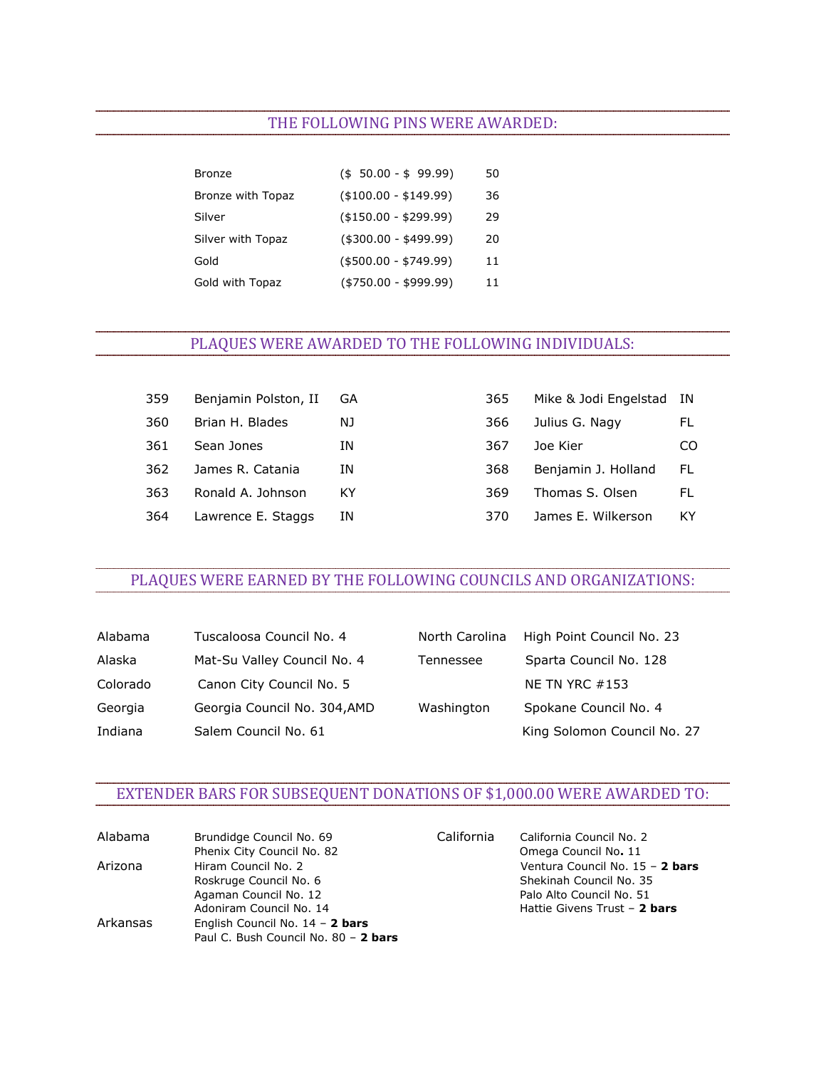#### THE FOLLOWING PINS WERE AWARDED:

| Bronze            | $($50.00 - $99.99)$   | 50 |
|-------------------|-----------------------|----|
| Bronze with Topaz | $($100.00 - $149.99)$ | 36 |
| Silver            | $($150.00 - $299.99)$ | 29 |
| Silver with Topaz | $($300.00 - $499.99)$ | 20 |
| Gold              | $($500.00 - $749.99)$ | 11 |
| Gold with Topaz   | $($750.00 - $999.99)$ | 11 |

### PLAQUES WERE AWARDED TO THE FOLLOWING INDIVIDUALS:

| 359 | Benjamin Polston, II | - GA | 365 | Mike & Jodi Engelstad IN |     |
|-----|----------------------|------|-----|--------------------------|-----|
| 360 | Brian H. Blades      | NJ.  | 366 | Julius G. Nagy           | FL. |
| 361 | Sean Jones           | ΙN   | 367 | Joe Kier                 | CO. |
| 362 | James R. Catania     | ΙN   | 368 | Benjamin J. Holland      | FL. |
| 363 | Ronald A. Johnson    | ΚY   | 369 | Thomas S. Olsen          | FL  |
| 364 | Lawrence E. Staggs   | ΙN   | 370 | James E. Wilkerson       | KY. |

### PLAQUES WERE EARNED BY THE FOLLOWING COUNCILS AND ORGANIZATIONS:

| Alabama  | Tuscaloosa Council No. 4     | North Carolina | High Point Council No. 23 |
|----------|------------------------------|----------------|---------------------------|
| Alaska   | Mat-Su Valley Council No. 4  | Tennessee      | Sparta Council No. 128    |
| Colorado | Canon City Council No. 5     |                | <b>NE TN YRC #153</b>     |
| Georgia  | Georgia Council No. 304, AMD | Washington     | Spokane Council No. 4     |
| Indiana  | Salem Council No. 61         |                | King Solomon Council No.  |

| Alabama  | Tuscaloosa Council No. 4     | North Carolina | High Point Council No. 23   |
|----------|------------------------------|----------------|-----------------------------|
| Alaska   | Mat-Su Valley Council No. 4  | Tennessee      | Sparta Council No. 128      |
| Colorado | Canon City Council No. 5     |                | NE TN YRC $#153$            |
| Georgia  | Georgia Council No. 304, AMD | Washington     | Spokane Council No. 4       |
| Indiana  | Salem Council No. 61         |                | King Solomon Council No. 27 |

#### EXTENDER BARS FOR SUBSEQUENT DONATIONS OF \$1,000.00 WERE AWARDED TO:

| Alabama  | Brundidge Council No. 69                                                  | California | California Council No. 2        |
|----------|---------------------------------------------------------------------------|------------|---------------------------------|
|          | Phenix City Council No. 82                                                |            | Omega Council No. 11            |
| Arizona  | Hiram Council No. 2                                                       |            | Ventura Council No. 15 - 2 bars |
|          | Roskruge Council No. 6                                                    |            | Shekinah Council No. 35         |
|          | Agaman Council No. 12                                                     |            | Palo Alto Council No. 51        |
|          | Adoniram Council No. 14                                                   |            | Hattie Givens Trust - 2 bars    |
| Arkansas | English Council No. $14 - 2$ bars<br>Paul C. Bush Council No. 80 - 2 bars |            |                                 |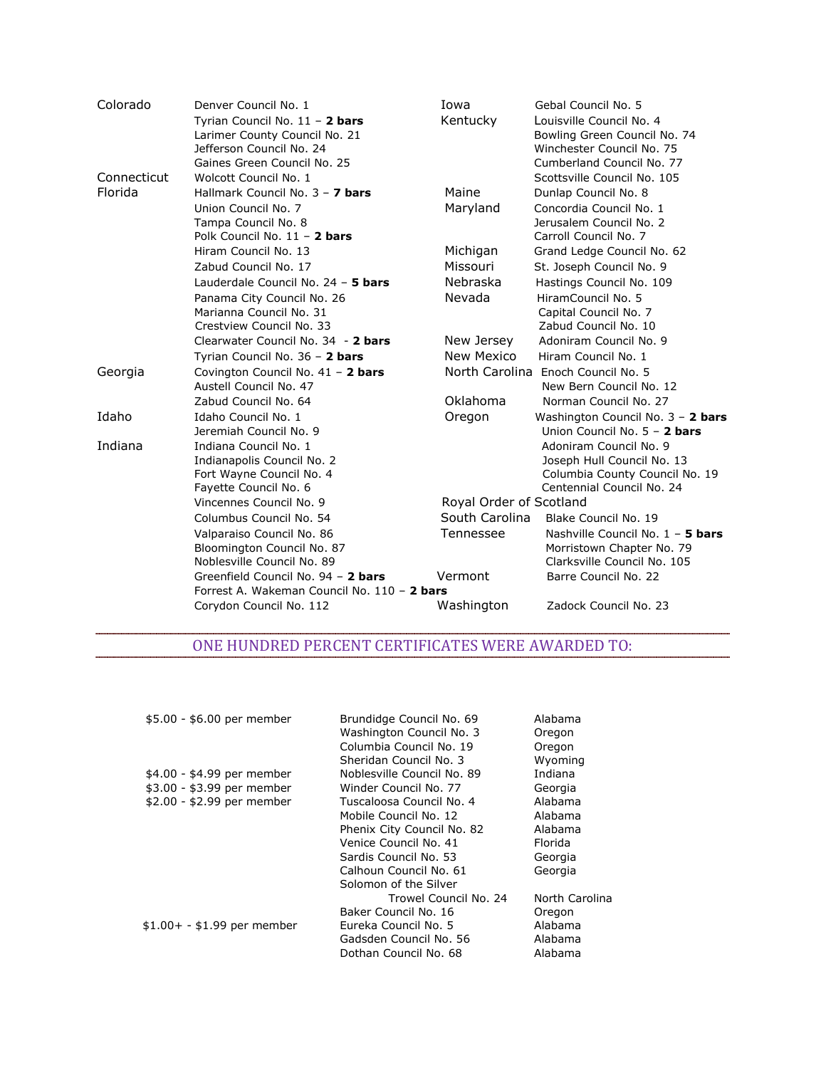| Colorado    | Denver Council No. 1                                                   | Iowa                    | Gebal Council No. 5               |
|-------------|------------------------------------------------------------------------|-------------------------|-----------------------------------|
|             | Tyrian Council No. 11 - 2 bars                                         | Kentucky                | Louisville Council No. 4          |
|             | Larimer County Council No. 21                                          |                         | Bowling Green Council No. 74      |
|             | Jefferson Council No. 24                                               |                         | Winchester Council No. 75         |
|             | Gaines Green Council No. 25                                            |                         | Cumberland Council No. 77         |
| Connecticut | Wolcott Council No. 1                                                  |                         | Scottsville Council No. 105       |
| Florida     | Hallmark Council No. 3 - 7 bars                                        | Maine                   | Dunlap Council No. 8              |
|             | Union Council No. 7                                                    | Maryland                | Concordia Council No. 1           |
|             | Tampa Council No. 8                                                    |                         | Jerusalem Council No. 2           |
|             | Polk Council No. 11 - 2 bars                                           |                         | Carroll Council No. 7             |
|             | Hiram Council No. 13                                                   | Michigan                | Grand Ledge Council No. 62        |
|             | Zabud Council No. 17                                                   | Missouri                | St. Joseph Council No. 9          |
|             | Lauderdale Council No. 24 - 5 bars                                     | Nebraska                | Hastings Council No. 109          |
|             | Panama City Council No. 26                                             | Nevada                  | HiramCouncil No. 5                |
|             | Marianna Council No. 31                                                |                         | Capital Council No. 7             |
|             | Crestview Council No. 33                                               |                         | Zabud Council No. 10              |
|             | Clearwater Council No. 34 - 2 bars                                     | New Jersey              | Adoniram Council No. 9            |
|             | Tyrian Council No. 36 - 2 bars                                         | New Mexico              | Hiram Council No. 1               |
| Georgia     | Covington Council No. 41 - 2 bars                                      | North Carolina          | Enoch Council No. 5               |
|             | Austell Council No. 47                                                 |                         | New Bern Council No. 12           |
|             | Zabud Council No. 64                                                   | Oklahoma                | Norman Council No. 27             |
| Idaho       | Idaho Council No. 1                                                    | Oregon                  | Washington Council No. 3 - 2 bars |
|             | Jeremiah Council No. 9                                                 |                         | Union Council No. 5 - 2 bars      |
| Indiana     | Indiana Council No. 1                                                  |                         | Adoniram Council No. 9            |
|             | Indianapolis Council No. 2                                             |                         | Joseph Hull Council No. 13        |
|             | Fort Wayne Council No. 4                                               |                         | Columbia County Council No. 19    |
|             | Fayette Council No. 6                                                  |                         | Centennial Council No. 24         |
|             | Vincennes Council No. 9                                                | Royal Order of Scotland |                                   |
|             | Columbus Council No. 54                                                | South Carolina          | Blake Council No. 19              |
|             | Valparaiso Council No. 86                                              | Tennessee               | Nashville Council No. 1 - 5 bars  |
|             | Bloomington Council No. 87                                             |                         | Morristown Chapter No. 79         |
|             | Noblesville Council No. 89                                             |                         | Clarksville Council No. 105       |
|             | Greenfield Council No. 94 - 2 bars                                     | Vermont                 | Barre Council No. 22              |
|             |                                                                        |                         |                                   |
|             |                                                                        |                         | Zadock Council No. 23             |
|             | Forrest A. Wakeman Council No. 110 - 2 bars<br>Corydon Council No. 112 | Washington              |                                   |

# ONE HUNDRED PERCENT CERTIFICATES WERE AWARDED TO:

| \$5.00 - \$6.00 per member  | Brundidge Council No. 69<br>Washington Council No. 3<br>Columbia Council No. 19<br>Sheridan Council No. 3 | Alabama<br>Oregon<br>Oregon<br>Wyoming |
|-----------------------------|-----------------------------------------------------------------------------------------------------------|----------------------------------------|
| \$4.00 - \$4.99 per member  | Noblesville Council No. 89                                                                                | Indiana                                |
| \$3.00 - \$3.99 per member  | Winder Council No. 77                                                                                     | Georgia                                |
| \$2.00 - \$2.99 per member  | Tuscaloosa Council No. 4                                                                                  | Alabama                                |
|                             | Mobile Council No. 12                                                                                     | Alabama                                |
|                             | Phenix City Council No. 82                                                                                | Alabama                                |
|                             | Venice Council No. 41                                                                                     | Florida                                |
|                             | Sardis Council No. 53                                                                                     | Georgia                                |
|                             | Calhoun Council No. 61                                                                                    | Georgia                                |
|                             | Solomon of the Silver                                                                                     |                                        |
|                             | Trowel Council No. 24                                                                                     | North Carolina                         |
|                             | Baker Council No. 16                                                                                      | Oregon                                 |
| $$1.00+ - $1.99$ per member | Eureka Council No. 5                                                                                      | Alabama                                |
|                             | Gadsden Council No. 56                                                                                    | Alabama                                |
|                             | Dothan Council No. 68                                                                                     | Alabama                                |